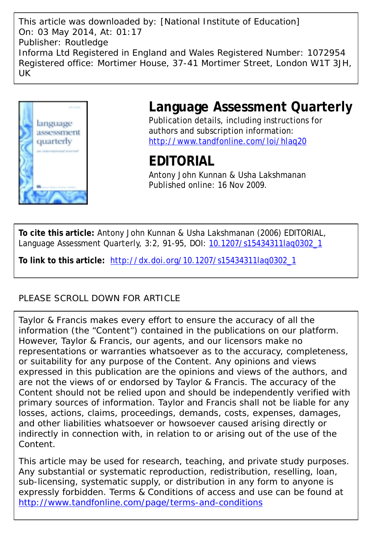This article was downloaded by: [National Institute of Education] On: 03 May 2014, At: 01:17 Publisher: Routledge Informa Ltd Registered in England and Wales Registered Number: 1072954 Registered office: Mortimer House, 37-41 Mortimer Street, London W1T 3JH, UK



# **Language Assessment Quarterly**

Publication details, including instructions for authors and subscription information: <http://www.tandfonline.com/loi/hlaq20>

## **EDITORIAL**

Antony John Kunnan & Usha Lakshmanan Published online: 16 Nov 2009.

**To cite this article:** Antony John Kunnan & Usha Lakshmanan (2006) EDITORIAL, Language Assessment Quarterly, 3:2, 91-95, DOI: [10.1207/s15434311laq0302\\_1](http://www.tandfonline.com/action/showCitFormats?doi=10.1207/s15434311laq0302_1)

**To link to this article:** [http://dx.doi.org/10.1207/s15434311laq0302\\_1](http://dx.doi.org/10.1207/s15434311laq0302_1)

### PLEASE SCROLL DOWN FOR ARTICLE

Taylor & Francis makes every effort to ensure the accuracy of all the information (the "Content") contained in the publications on our platform. However, Taylor & Francis, our agents, and our licensors make no representations or warranties whatsoever as to the accuracy, completeness, or suitability for any purpose of the Content. Any opinions and views expressed in this publication are the opinions and views of the authors, and are not the views of or endorsed by Taylor & Francis. The accuracy of the Content should not be relied upon and should be independently verified with primary sources of information. Taylor and Francis shall not be liable for any losses, actions, claims, proceedings, demands, costs, expenses, damages, and other liabilities whatsoever or howsoever caused arising directly or indirectly in connection with, in relation to or arising out of the use of the Content.

This article may be used for research, teaching, and private study purposes. Any substantial or systematic reproduction, redistribution, reselling, loan, sub-licensing, systematic supply, or distribution in any form to anyone is expressly forbidden. Terms & Conditions of access and use can be found at <http://www.tandfonline.com/page/terms-and-conditions>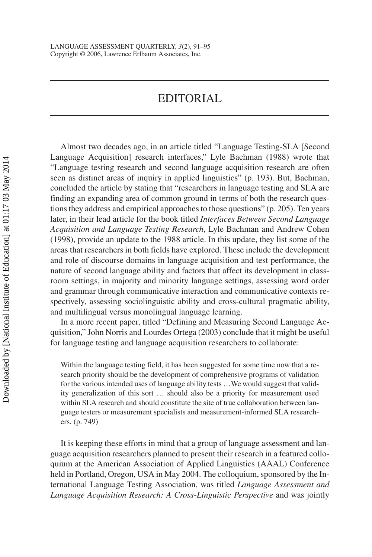### EDITORIAL

Almost two decades ago, in an article titled "Language Testing-SLA [Second Language Acquisition] research interfaces," Lyle Bachman (1988) wrote that "Language testing research and second language acquisition research are often seen as distinct areas of inquiry in applied linguistics" (p. 193). But, Bachman, concluded the article by stating that "researchers in language testing and SLA are finding an expanding area of common ground in terms of both the research questions they address and empirical approaches to those questions" (p. 205). Ten years later, in their lead article for the book titled *Interfaces Between Second Language Acquisition and Language Testing Research*, Lyle Bachman and Andrew Cohen (1998), provide an update to the 1988 article. In this update, they list some of the areas that researchers in both fields have explored. These include the development and role of discourse domains in language acquisition and test performance, the nature of second language ability and factors that affect its development in classroom settings, in majority and minority language settings, assessing word order and grammar through communicative interaction and communicative contexts respectively, assessing sociolinguistic ability and cross-cultural pragmatic ability, and multilingual versus monolingual language learning.

In a more recent paper, titled "Defining and Measuring Second Language Acquisition," John Norris and Lourdes Ortega (2003) conclude that it might be useful for language testing and language acquisition researchers to collaborate:

Within the language testing field, it has been suggested for some time now that a research priority should be the development of comprehensive programs of validation for the various intended uses of language ability tests …We would suggest that validity generalization of this sort … should also be a priority for measurement used within SLA research and should constitute the site of true collaboration between language testers or measurement specialists and measurement-informed SLA researchers. (p. 749)

It is keeping these efforts in mind that a group of language assessment and language acquisition researchers planned to present their research in a featured colloquium at the American Association of Applied Linguistics (AAAL) Conference held in Portland, Oregon, USA in May 2004. The colloquium, sponsored by the International Language Testing Association, was titled *Language Assessment and Language Acquisition Research: A Cross-Linguistic Perspective* and was jointly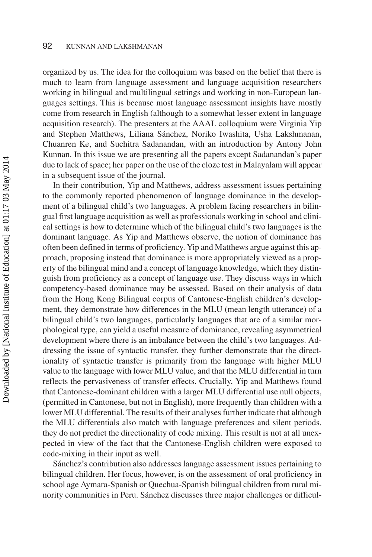organized by us. The idea for the colloquium was based on the belief that there is much to learn from language assessment and language acquisition researchers working in bilingual and multilingual settings and working in non-European languages settings. This is because most language assessment insights have mostly come from research in English (although to a somewhat lesser extent in language acquisition research). The presenters at the AAAL colloquium were Virginia Yip and Stephen Matthews, Liliana Sánchez, Noriko Iwashita, Usha Lakshmanan, Chuanren Ke, and Suchitra Sadanandan, with an introduction by Antony John Kunnan. In this issue we are presenting all the papers except Sadanandan's paper due to lack of space; her paper on the use of the cloze test in Malayalam will appear in a subsequent issue of the journal.

In their contribution, Yip and Matthews, address assessment issues pertaining to the commonly reported phenomenon of language dominance in the development of a bilingual child's two languages. A problem facing researchers in bilingual first language acquisition as well as professionals working in school and clinical settings is how to determine which of the bilingual child's two languages is the dominant language. As Yip and Matthews observe, the notion of dominance has often been defined in terms of proficiency. Yip and Matthews argue against this approach, proposing instead that dominance is more appropriately viewed as a property of the bilingual mind and a concept of language knowledge, which they distinguish from proficiency as a concept of language use. They discuss ways in which competency-based dominance may be assessed. Based on their analysis of data from the Hong Kong Bilingual corpus of Cantonese-English children's development, they demonstrate how differences in the MLU (mean length utterance) of a bilingual child's two languages, particularly languages that are of a similar morphological type, can yield a useful measure of dominance, revealing asymmetrical development where there is an imbalance between the child's two languages. Addressing the issue of syntactic transfer, they further demonstrate that the directionality of syntactic transfer is primarily from the language with higher MLU value to the language with lower MLU value, and that the MLU differential in turn reflects the pervasiveness of transfer effects. Crucially, Yip and Matthews found that Cantonese-dominant children with a larger MLU differential use null objects, (permitted in Cantonese, but not in English), more frequently than children with a lower MLU differential. The results of their analyses further indicate that although the MLU differentials also match with language preferences and silent periods, they do not predict the directionality of code mixing. This result is not at all unexpected in view of the fact that the Cantonese-English children were exposed to code-mixing in their input as well.

Sánchez's contribution also addresses language assessment issues pertaining to bilingual children. Her focus, however, is on the assessment of oral proficiency in school age Aymara-Spanish or Quechua-Spanish bilingual children from rural minority communities in Peru. Sánchez discusses three major challenges or difficul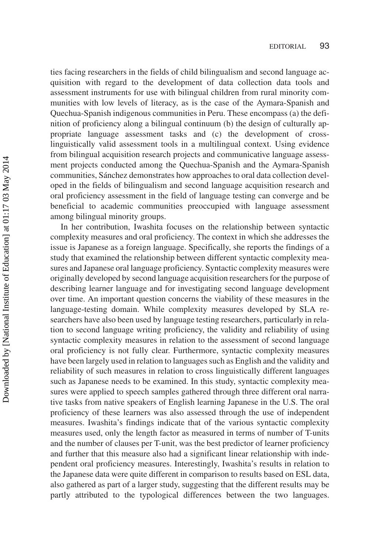ties facing researchers in the fields of child bilingualism and second language acquisition with regard to the development of data collection data tools and assessment instruments for use with bilingual children from rural minority communities with low levels of literacy, as is the case of the Aymara-Spanish and Quechua-Spanish indigenous communities in Peru. These encompass (a) the definition of proficiency along a bilingual continuum (b) the design of culturally appropriate language assessment tasks and (c) the development of crosslinguistically valid assessment tools in a multilingual context. Using evidence from bilingual acquisition research projects and communicative language assessment projects conducted among the Quechua-Spanish and the Aymara-Spanish communities, Sánchez demonstrates how approaches to oral data collection developed in the fields of bilingualism and second language acquisition research and oral proficiency assessment in the field of language testing can converge and be beneficial to academic communities preoccupied with language assessment among bilingual minority groups.

In her contribution, Iwashita focuses on the relationship between syntactic complexity measures and oral proficiency. The context in which she addresses the issue is Japanese as a foreign language. Specifically, she reports the findings of a study that examined the relationship between different syntactic complexity measures and Japanese oral language proficiency. Syntactic complexity measures were originally developed by second language acquisition researchers for the purpose of describing learner language and for investigating second language development over time. An important question concerns the viability of these measures in the language-testing domain. While complexity measures developed by SLA researchers have also been used by language testing researchers, particularly in relation to second language writing proficiency, the validity and reliability of using syntactic complexity measures in relation to the assessment of second language oral proficiency is not fully clear. Furthermore, syntactic complexity measures have been largely used in relation to languages such as English and the validity and reliability of such measures in relation to cross linguistically different languages such as Japanese needs to be examined. In this study, syntactic complexity measures were applied to speech samples gathered through three different oral narrative tasks from native speakers of English learning Japanese in the U.S. The oral proficiency of these learners was also assessed through the use of independent measures. Iwashita's findings indicate that of the various syntactic complexity measures used, only the length factor as measured in terms of number of T-units and the number of clauses per T-unit, was the best predictor of learner proficiency and further that this measure also had a significant linear relationship with independent oral proficiency measures. Interestingly, Iwashita's results in relation to the Japanese data were quite different in comparison to results based on ESL data, also gathered as part of a larger study, suggesting that the different results may be partly attributed to the typological differences between the two languages.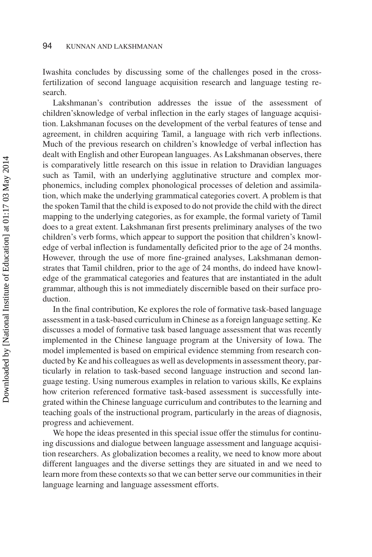Iwashita concludes by discussing some of the challenges posed in the crossfertilization of second language acquisition research and language testing research.

Lakshmanan's contribution addresses the issue of the assessment of children'sknowledge of verbal inflection in the early stages of language acquisition. Lakshmanan focuses on the development of the verbal features of tense and agreement, in children acquiring Tamil, a language with rich verb inflections. Much of the previous research on children's knowledge of verbal inflection has dealt with English and other European languages. As Lakshmanan observes, there is comparatively little research on this issue in relation to Dravidian languages such as Tamil, with an underlying agglutinative structure and complex morphonemics, including complex phonological processes of deletion and assimilation, which make the underlying grammatical categories covert. A problem is that the spoken Tamil that the child is exposed to do not provide the child with the direct mapping to the underlying categories, as for example, the formal variety of Tamil does to a great extent. Lakshmanan first presents preliminary analyses of the two children's verb forms, which appear to support the position that children's knowledge of verbal inflection is fundamentally deficited prior to the age of 24 months. However, through the use of more fine-grained analyses, Lakshmanan demonstrates that Tamil children, prior to the age of 24 months, do indeed have knowledge of the grammatical categories and features that are instantiated in the adult grammar, although this is not immediately discernible based on their surface production.

In the final contribution, Ke explores the role of formative task-based language assessment in a task-based curriculum in Chinese as a foreign language setting. Ke discusses a model of formative task based language assessment that was recently implemented in the Chinese language program at the University of Iowa. The model implemented is based on empirical evidence stemming from research conducted by Ke and his colleagues as well as developments in assessment theory, particularly in relation to task-based second language instruction and second language testing. Using numerous examples in relation to various skills, Ke explains how criterion referenced formative task-based assessment is successfully integrated within the Chinese language curriculum and contributes to the learning and teaching goals of the instructional program, particularly in the areas of diagnosis, progress and achievement.

We hope the ideas presented in this special issue offer the stimulus for continuing discussions and dialogue between language assessment and language acquisition researchers. As globalization becomes a reality, we need to know more about different languages and the diverse settings they are situated in and we need to learn more from these contexts so that we can better serve our communities in their language learning and language assessment efforts.